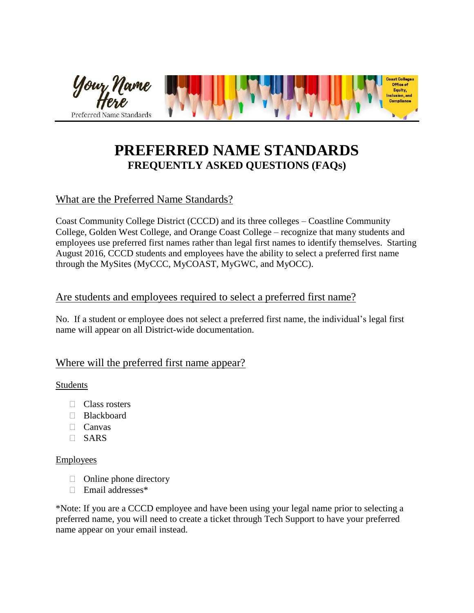

# **PREFERRED NAME STANDARDS FREQUENTLY ASKED QUESTIONS (FAQs)**

# What are the Preferred Name Standards?

Coast Community College District (CCCD) and its three colleges – Coastline Community College, Golden West College, and Orange Coast College – recognize that many students and employees use preferred first names rather than legal first names to identify themselves. Starting August 2016, CCCD students and employees have the ability to select a preferred first name through the MySites (MyCCC, MyCOAST, MyGWC, and MyOCC).

## Are students and employees required to select a preferred first name?

No. If a student or employee does not select a preferred first name, the individual's legal first name will appear on all District-wide documentation.

## Where will the preferred first name appear?

#### Students

- □ Class rosters
- □ Blackboard
- $\Box$  Canvas
- SARS

#### **Employees**

- $\Box$  Online phone directory
- Email addresses\*

\*Note: If you are a CCCD employee and have been using your legal name prior to selecting a preferred name, you will need to create a ticket through Tech Support to have your preferred name appear on your email instead.